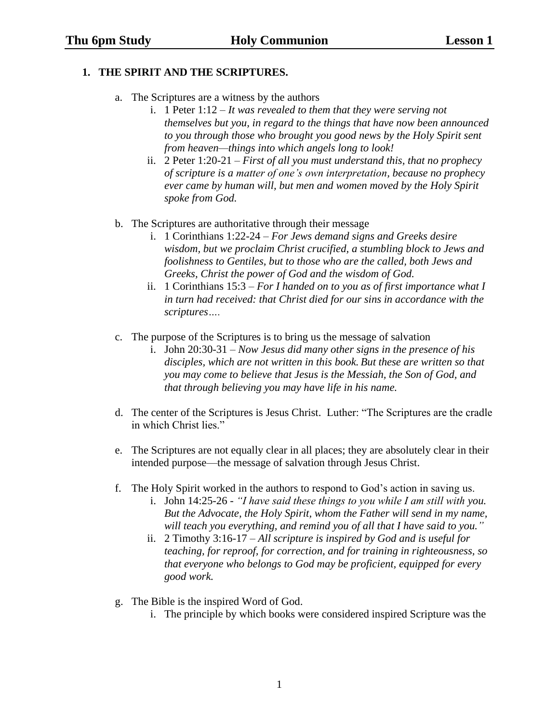## **1. THE SPIRIT AND THE SCRIPTURES.**

- a. The Scriptures are a witness by the authors
	- i. 1 Peter 1:12 *It was revealed to them that they were serving not themselves but you, in regard to the things that have now been announced to you through those who brought you good news by the Holy Spirit sent from heaven—things into which angels long to look!*
	- ii. 2 Peter 1:20-21 *First of all you must understand this, that no prophecy of scripture is a matter of one's own interpretation, because no prophecy ever came by human will, but men and women moved by the Holy Spirit spoke from God.*
- b. The Scriptures are authoritative through their message
	- i. 1 Corinthians 1:22-24 *For Jews demand signs and Greeks desire wisdom, but we proclaim Christ crucified, a stumbling block to Jews and foolishness to Gentiles, but to those who are the called, both Jews and Greeks, Christ the power of God and the wisdom of God.*
	- ii. 1 Corinthians 15:3 *For I handed on to you as of first importance what I in turn had received: that Christ died for our sins in accordance with the scriptures….*
- c. The purpose of the Scriptures is to bring us the message of salvation
	- i. John 20:30-31 *Now Jesus did many other signs in the presence of his disciples, which are not written in this book. But these are written so that you may come to believe that Jesus is the Messiah, the Son of God, and that through believing you may have life in his name.*
- d. The center of the Scriptures is Jesus Christ. Luther: "The Scriptures are the cradle in which Christ lies."
- e. The Scriptures are not equally clear in all places; they are absolutely clear in their intended purpose—the message of salvation through Jesus Christ.
- f. The Holy Spirit worked in the authors to respond to God's action in saving us.
	- i. John 14:25-26 *"I have said these things to you while I am still with you. But the Advocate, the Holy Spirit, whom the Father will send in my name, will teach you everything, and remind you of all that I have said to you."*
	- ii. 2 Timothy 3:16-17 *All scripture is inspired by God and is useful for teaching, for reproof, for correction, and for training in righteousness, so that everyone who belongs to God may be proficient, equipped for every good work.*
- g. The Bible is the inspired Word of God.
	- i. The principle by which books were considered inspired Scripture was the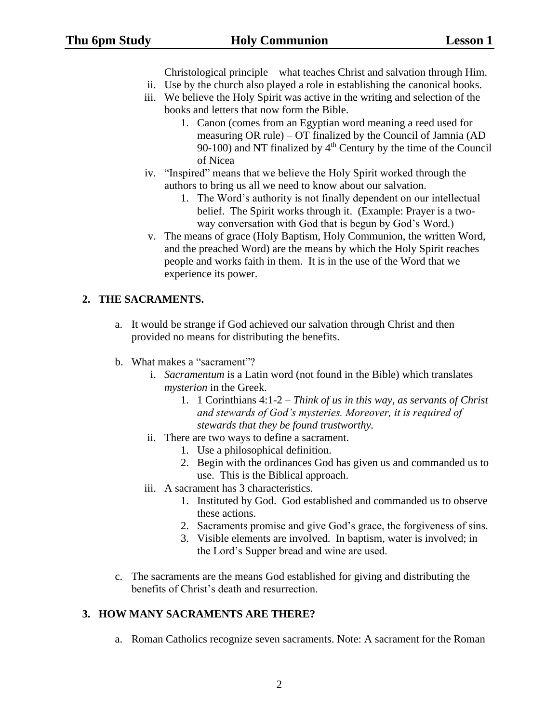Christological principle—what teaches Christ and salvation through Him.

- ii. Use by the church also played a role in establishing the canonical books.
- iii. We believe the Holy Spirit was active in the writing and selection of the books and letters that now form the Bible.
	- 1. Canon (comes from an Egyptian word meaning a reed used for measuring OR rule) – OT finalized by the Council of Jamnia (AD 90-100) and NT finalized by  $4<sup>th</sup>$  Century by the time of the Council of Nicea
- iv. "Inspired" means that we believe the Holy Spirit worked through the authors to bring us all we need to know about our salvation.
	- 1. The Word's authority is not finally dependent on our intellectual belief. The Spirit works through it. (Example: Prayer is a twoway conversation with God that is begun by God's Word.)
- v. The means of grace (Holy Baptism, Holy Communion, the written Word, and the preached Word) are the means by which the Holy Spirit reaches people and works faith in them. It is in the use of the Word that we experience its power.

## **2. THE SACRAMENTS.**

- a. It would be strange if God achieved our salvation through Christ and then provided no means for distributing the benefits.
- b. What makes a "sacrament"?
	- i. *Sacramentum* is a Latin word (not found in the Bible) which translates *mysterion* in the Greek.
		- 1. 1 Corinthians 4:1-2 *Think of us in this way, as servants of Christ and stewards of God's mysteries. Moreover, it is required of stewards that they be found trustworthy.*
	- ii. There are two ways to define a sacrament.
		- 1. Use a philosophical definition.
		- 2. Begin with the ordinances God has given us and commanded us to use. This is the Biblical approach.
	- iii. A sacrament has 3 characteristics.
		- 1. Instituted by God. God established and commanded us to observe these actions.
		- 2. Sacraments promise and give God's grace, the forgiveness of sins.
		- 3. Visible elements are involved. In baptism, water is involved; in the Lord's Supper bread and wine are used.
- c. The sacraments are the means God established for giving and distributing the benefits of Christ's death and resurrection.

## **3. HOW MANY SACRAMENTS ARE THERE?**

a. Roman Catholics recognize seven sacraments. Note: A sacrament for the Roman